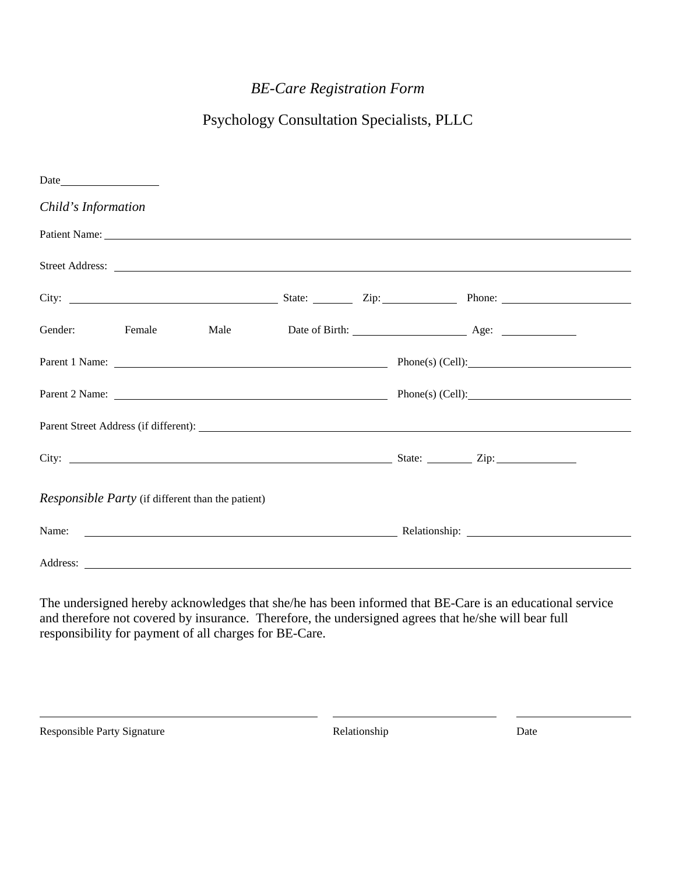# *BE-Care Registration Form*

# Psychology Consultation Specialists, PLLC

| Child's Information                                      |  |  |  |  |                                                            |  |  |
|----------------------------------------------------------|--|--|--|--|------------------------------------------------------------|--|--|
|                                                          |  |  |  |  | Patient Name:                                              |  |  |
|                                                          |  |  |  |  | Street Address: <u>The Community of the Street Address</u> |  |  |
|                                                          |  |  |  |  |                                                            |  |  |
|                                                          |  |  |  |  | Gender: Female Male Date of Birth: Age: Age:               |  |  |
|                                                          |  |  |  |  |                                                            |  |  |
|                                                          |  |  |  |  |                                                            |  |  |
|                                                          |  |  |  |  |                                                            |  |  |
|                                                          |  |  |  |  |                                                            |  |  |
| <i>Responsible Party</i> (if different than the patient) |  |  |  |  |                                                            |  |  |
|                                                          |  |  |  |  |                                                            |  |  |
|                                                          |  |  |  |  |                                                            |  |  |

The undersigned hereby acknowledges that she/he has been informed that BE-Care is an educational service and therefore not covered by insurance. Therefore, the undersigned agrees that he/she will bear full responsibility for payment of all charges for BE-Care.

Responsible Party Signature Date Relationship Relationship Date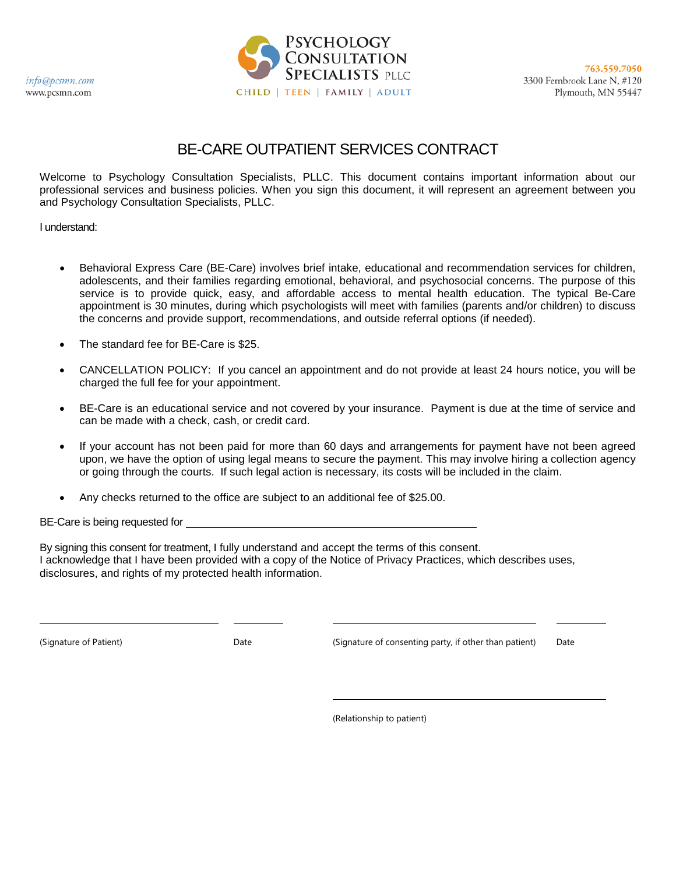info@pcsmn.com www.pcsmn.com



# BE-CARE OUTPATIENT SERVICES CONTRACT

Welcome to Psychology Consultation Specialists, PLLC. This document contains important information about our professional services and business policies. When you sign this document, it will represent an agreement between you and Psychology Consultation Specialists, PLLC.

I understand:

- Behavioral Express Care (BE-Care) involves brief intake, educational and recommendation services for children, adolescents, and their families regarding emotional, behavioral, and psychosocial concerns. The purpose of this service is to provide quick, easy, and affordable access to mental health education. The typical Be-Care appointment is 30 minutes, during which psychologists will meet with families (parents and/or children) to discuss the concerns and provide support, recommendations, and outside referral options (if needed).
- The standard fee for BE-Care is \$25.
- CANCELLATION POLICY: If you cancel an appointment and do not provide at least 24 hours notice, you will be charged the full fee for your appointment.
- BE-Care is an educational service and not covered by your insurance. Payment is due at the time of service and can be made with a check, cash, or credit card.
- If your account has not been paid for more than 60 days and arrangements for payment have not been agreed upon, we have the option of using legal means to secure the payment. This may involve hiring a collection agency or going through the courts. If such legal action is necessary, its costs will be included in the claim.
- Any checks returned to the office are subject to an additional fee of \$25.00.

BE-Care is being requested for

By signing this consent for treatment, I fully understand and accept the terms of this consent. I acknowledge that I have been provided with a copy of the Notice of Privacy Practices, which describes uses, disclosures, and rights of my protected health information.

(Signature of Patient) Date (Signature of consenting party, if other than patient) Date

(Relationship to patient)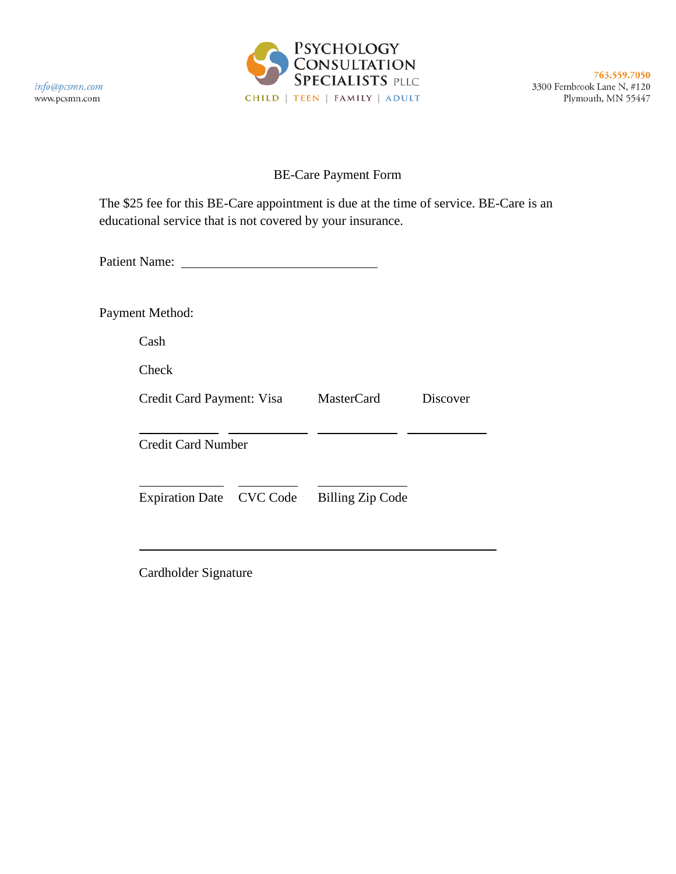

763.559.7050 3300 Fernbrook Lane N, #120 Plymouth, MN 55447

## BE-Care Payment Form

The \$25 fee for this BE-Care appointment is due at the time of service. BE-Care is an educational service that is not covered by your insurance.

Patient Name: 2008

Payment Method:

Cash

Check

| Credit Card Payment: Visa | MasterCard       | Discover |
|---------------------------|------------------|----------|
| Credit Card Number        |                  |          |
| Expiration Date CVC Code  | Billing Zip Code |          |

Cardholder Signature